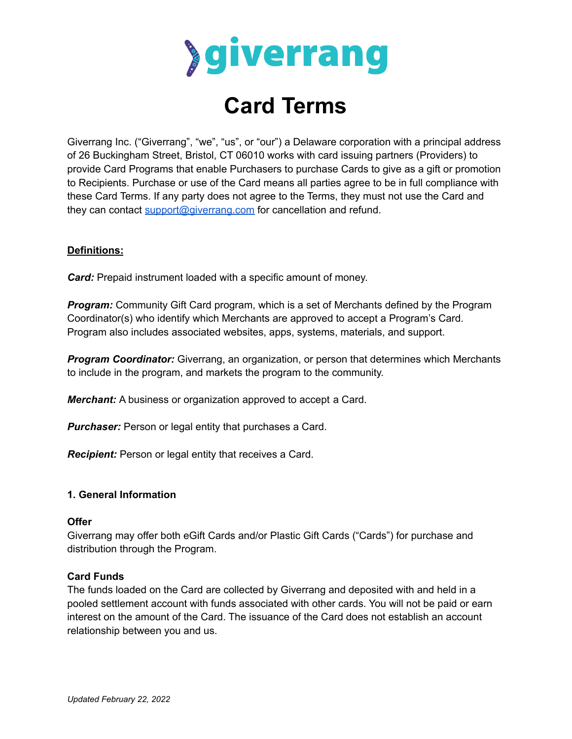

# **Card Terms**

Giverrang Inc. ("Giverrang", "we", "us", or "our") a Delaware corporation with a principal address of 26 Buckingham Street, Bristol, CT 06010 works with card issuing partners (Providers) to provide Card Programs that enable Purchasers to purchase Cards to give as a gift or promotion to Recipients. Purchase or use of the Card means all parties agree to be in full compliance with these Card Terms. If any party does not agree to the Terms, they must not use the Card and they can contact [support@giverrang.com](mailto:support@giverrang.com) for cancellation and refund.

# **Definitions:**

*Card:* Prepaid instrument loaded with a specific amount of money.

*Program:* Community Gift Card program, which is a set of Merchants defined by the Program Coordinator(s) who identify which Merchants are approved to accept a Program's Card. Program also includes associated websites, apps, systems, materials, and support.

*Program Coordinator:* Giverrang, an organization, or person that determines which Merchants to include in the program, and markets the program to the community.

*Merchant:* A business or organization approved to accept a Card.

*Purchaser:* Person or legal entity that purchases a Card.

*Recipient:* Person or legal entity that receives a Card.

# **1. General Information**

#### **Offer**

Giverrang may offer both eGift Cards and/or Plastic Gift Cards ("Cards") for purchase and distribution through the Program.

#### **Card Funds**

The funds loaded on the Card are collected by Giverrang and deposited with and held in a pooled settlement account with funds associated with other cards. You will not be paid or earn interest on the amount of the Card. The issuance of the Card does not establish an account relationship between you and us.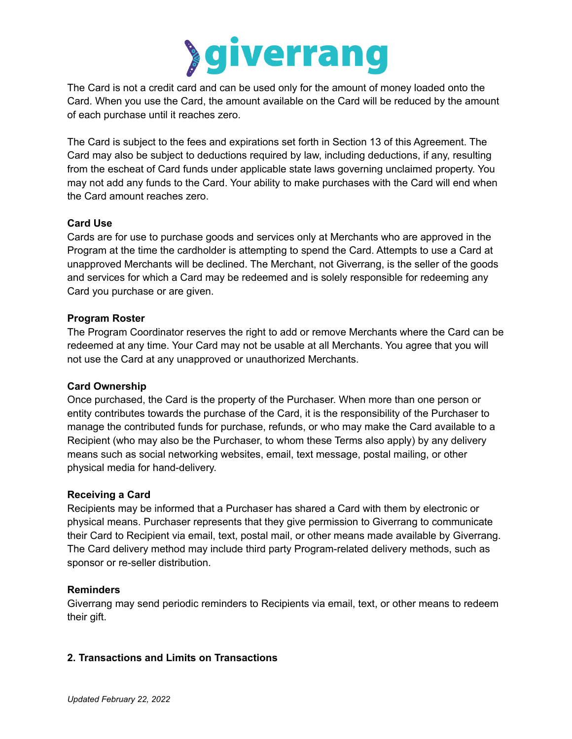

The Card is not a credit card and can be used only for the amount of money loaded onto the Card. When you use the Card, the amount available on the Card will be reduced by the amount of each purchase until it reaches zero.

The Card is subject to the fees and expirations set forth in Section 13 of this Agreement. The Card may also be subject to deductions required by law, including deductions, if any, resulting from the escheat of Card funds under applicable state laws governing unclaimed property. You may not add any funds to the Card. Your ability to make purchases with the Card will end when the Card amount reaches zero.

# **Card Use**

Cards are for use to purchase goods and services only at Merchants who are approved in the Program at the time the cardholder is attempting to spend the Card. Attempts to use a Card at unapproved Merchants will be declined. The Merchant, not Giverrang, is the seller of the goods and services for which a Card may be redeemed and is solely responsible for redeeming any Card you purchase or are given.

#### **Program Roster**

The Program Coordinator reserves the right to add or remove Merchants where the Card can be redeemed at any time. Your Card may not be usable at all Merchants. You agree that you will not use the Card at any unapproved or unauthorized Merchants.

#### **Card Ownership**

Once purchased, the Card is the property of the Purchaser. When more than one person or entity contributes towards the purchase of the Card, it is the responsibility of the Purchaser to manage the contributed funds for purchase, refunds, or who may make the Card available to a Recipient (who may also be the Purchaser, to whom these Terms also apply) by any delivery means such as social networking websites, email, text message, postal mailing, or other physical media for hand-delivery.

#### **Receiving a Card**

Recipients may be informed that a Purchaser has shared a Card with them by electronic or physical means. Purchaser represents that they give permission to Giverrang to communicate their Card to Recipient via email, text, postal mail, or other means made available by Giverrang. The Card delivery method may include third party Program-related delivery methods, such as sponsor or re-seller distribution.

#### **Reminders**

Giverrang may send periodic reminders to Recipients via email, text, or other means to redeem their gift.

# **2. Transactions and Limits on Transactions**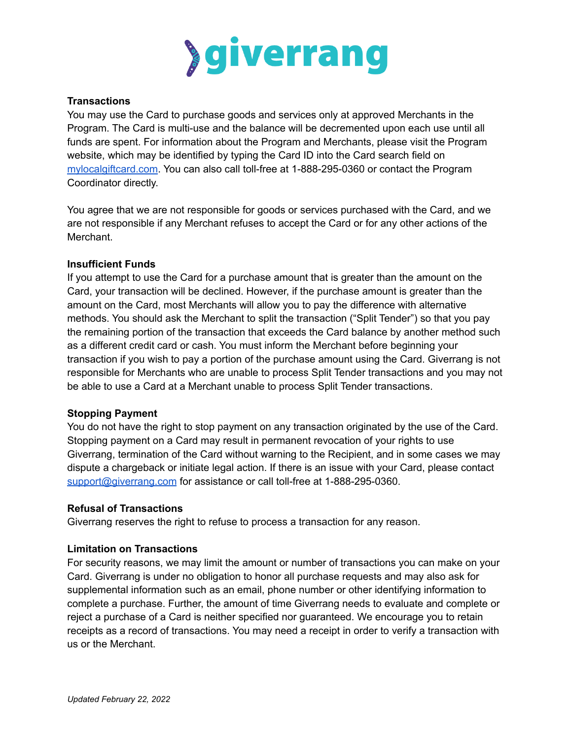

#### **Transactions**

You may use the Card to purchase goods and services only at approved Merchants in the Program. The Card is multi-use and the balance will be decremented upon each use until all funds are spent. For information about the Program and Merchants, please visit the Program website, which may be identified by typing the Card ID into the Card search field on [mylocalgiftcard.com](https://mylocalgiftcard.com). You can also call toll-free at 1-888-295-0360 or contact the Program Coordinator directly.

You agree that we are not responsible for goods or services purchased with the Card, and we are not responsible if any Merchant refuses to accept the Card or for any other actions of the Merchant.

#### **Insufficient Funds**

If you attempt to use the Card for a purchase amount that is greater than the amount on the Card, your transaction will be declined. However, if the purchase amount is greater than the amount on the Card, most Merchants will allow you to pay the difference with alternative methods. You should ask the Merchant to split the transaction ("Split Tender") so that you pay the remaining portion of the transaction that exceeds the Card balance by another method such as a different credit card or cash. You must inform the Merchant before beginning your transaction if you wish to pay a portion of the purchase amount using the Card. Giverrang is not responsible for Merchants who are unable to process Split Tender transactions and you may not be able to use a Card at a Merchant unable to process Split Tender transactions.

#### **Stopping Payment**

You do not have the right to stop payment on any transaction originated by the use of the Card. Stopping payment on a Card may result in permanent revocation of your rights to use Giverrang, termination of the Card without warning to the Recipient, and in some cases we may dispute a chargeback or initiate legal action. If there is an issue with your Card, please contact [support@giverrang.com](mailto:support@giverrang.com) for assistance or call toll-free at 1-888-295-0360.

#### **Refusal of Transactions**

Giverrang reserves the right to refuse to process a transaction for any reason.

# **Limitation on Transactions**

For security reasons, we may limit the amount or number of transactions you can make on your Card. Giverrang is under no obligation to honor all purchase requests and may also ask for supplemental information such as an email, phone number or other identifying information to complete a purchase. Further, the amount of time Giverrang needs to evaluate and complete or reject a purchase of a Card is neither specified nor guaranteed. We encourage you to retain receipts as a record of transactions. You may need a receipt in order to verify a transaction with us or the Merchant.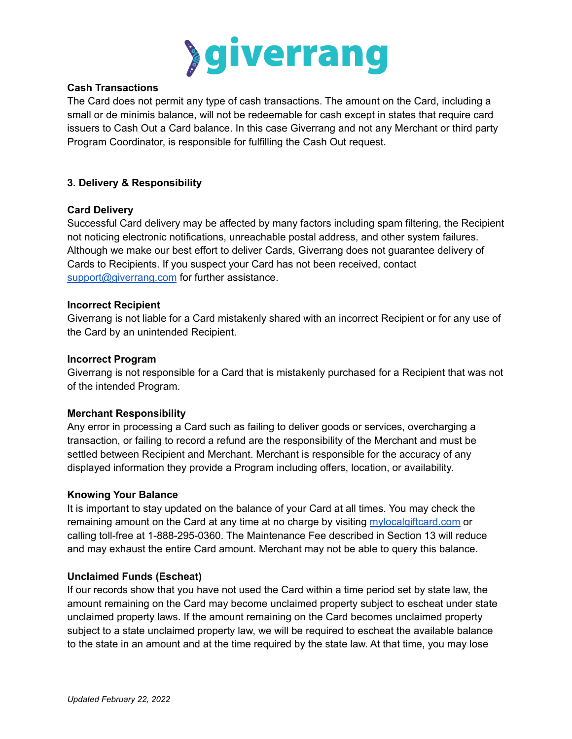

#### **Cash Transactions**

The Card does not permit any type of cash transactions. The amount on the Card, including a small or de minimis balance, will not be redeemable for cash except in states that require card issuers to Cash Out a Card balance. In this case Giverrang and not any Merchant or third party Program Coordinator, is responsible for fulfilling the Cash Out request.

# **3. Delivery & Responsibility**

#### **Card Delivery**

Successful Card delivery may be affected by many factors including spam filtering, the Recipient not noticing electronic notifications, unreachable postal address, and other system failures. Although we make our best effort to deliver Cards, Giverrang does not guarantee delivery of Cards to Recipients. If you suspect your Card has not been received, contact [support@giverrang.com](mailto:support@giverrang.com) for further assistance.

#### **Incorrect Recipient**

Giverrang is not liable for a Card mistakenly shared with an incorrect Recipient or for any use of the Card by an unintended Recipient.

#### **Incorrect Program**

Giverrang is not responsible for a Card that is mistakenly purchased for a Recipient that was not of the intended Program.

#### **Merchant Responsibility**

Any error in processing a Card such as failing to deliver goods or services, overcharging a transaction, or failing to record a refund are the responsibility of the Merchant and must be settled between Recipient and Merchant. Merchant is responsible for the accuracy of any displayed information they provide a Program including offers, location, or availability.

#### **Knowing Your Balance**

It is important to stay updated on the balance of your Card at all times. You may check the remaining amount on the Card at any time at no charge by visiting [mylocalgiftcard.com](http://www.mylocalgiftcard.com) or calling toll-free at 1-888-295-0360. The Maintenance Fee described in Section 13 will reduce and may exhaust the entire Card amount. Merchant may not be able to query this balance.

#### **Unclaimed Funds (Escheat)**

If our records show that you have not used the Card within a time period set by state law, the amount remaining on the Card may become unclaimed property subject to escheat under state unclaimed property laws. If the amount remaining on the Card becomes unclaimed property subject to a state unclaimed property law, we will be required to escheat the available balance to the state in an amount and at the time required by the state law. At that time, you may lose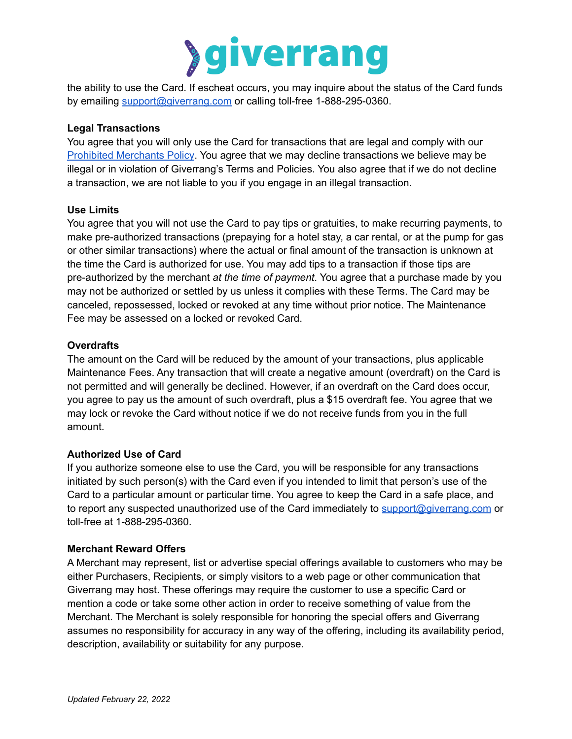

the ability to use the Card. If escheat occurs, you may inquire about the status of the Card funds by emailing [support@giverrang.com](mailto:support@giverrang.com) or calling toll-free 1-888-295-0360.

# **Legal Transactions**

You agree that you will only use the Card for transactions that are legal and comply with our Prohibited [Merchants](https://giverrang.com/static/docs/prohibited-merchants.pdf?cache=20211215) Policy. You agree that we may decline transactions we believe may be illegal or in violation of Giverrang's Terms and Policies. You also agree that if we do not decline a transaction, we are not liable to you if you engage in an illegal transaction.

# **Use Limits**

You agree that you will not use the Card to pay tips or gratuities, to make recurring payments, to make pre-authorized transactions (prepaying for a hotel stay, a car rental, or at the pump for gas or other similar transactions) where the actual or final amount of the transaction is unknown at the time the Card is authorized for use. You may add tips to a transaction if those tips are pre-authorized by the merchant *at the time of payment*. You agree that a purchase made by you may not be authorized or settled by us unless it complies with these Terms. The Card may be canceled, repossessed, locked or revoked at any time without prior notice. The Maintenance Fee may be assessed on a locked or revoked Card.

# **Overdrafts**

The amount on the Card will be reduced by the amount of your transactions, plus applicable Maintenance Fees. Any transaction that will create a negative amount (overdraft) on the Card is not permitted and will generally be declined. However, if an overdraft on the Card does occur, you agree to pay us the amount of such overdraft, plus a \$15 overdraft fee. You agree that we may lock or revoke the Card without notice if we do not receive funds from you in the full amount.

# **Authorized Use of Card**

If you authorize someone else to use the Card, you will be responsible for any transactions initiated by such person(s) with the Card even if you intended to limit that person's use of the Card to a particular amount or particular time. You agree to keep the Card in a safe place, and to report any suspected unauthorized use of the Card immediately to [support@giverrang.com](mailto:support@giverrang.com) or toll-free at 1-888-295-0360.

# **Merchant Reward Offers**

A Merchant may represent, list or advertise special offerings available to customers who may be either Purchasers, Recipients, or simply visitors to a web page or other communication that Giverrang may host. These offerings may require the customer to use a specific Card or mention a code or take some other action in order to receive something of value from the Merchant. The Merchant is solely responsible for honoring the special offers and Giverrang assumes no responsibility for accuracy in any way of the offering, including its availability period, description, availability or suitability for any purpose.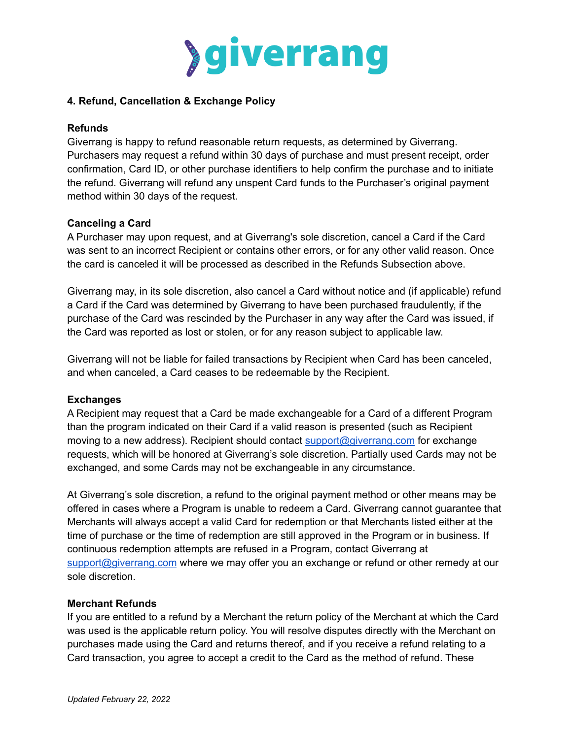

#### **4. Refund, Cancellation & Exchange Policy**

#### **Refunds**

Giverrang is happy to refund reasonable return requests, as determined by Giverrang. Purchasers may request a refund within 30 days of purchase and must present receipt, order confirmation, Card ID, or other purchase identifiers to help confirm the purchase and to initiate the refund. Giverrang will refund any unspent Card funds to the Purchaser's original payment method within 30 days of the request.

# **Canceling a Card**

A Purchaser may upon request, and at Giverrang's sole discretion, cancel a Card if the Card was sent to an incorrect Recipient or contains other errors, or for any other valid reason. Once the card is canceled it will be processed as described in the Refunds Subsection above.

Giverrang may, in its sole discretion, also cancel a Card without notice and (if applicable) refund a Card if the Card was determined by Giverrang to have been purchased fraudulently, if the purchase of the Card was rescinded by the Purchaser in any way after the Card was issued, if the Card was reported as lost or stolen, or for any reason subject to applicable law.

Giverrang will not be liable for failed transactions by Recipient when Card has been canceled, and when canceled, a Card ceases to be redeemable by the Recipient.

#### **Exchanges**

A Recipient may request that a Card be made exchangeable for a Card of a different Program than the program indicated on their Card if a valid reason is presented (such as Recipient moving to a new address). Recipient should contact [support@giverrang.com](mailto:support@giverrang.com) for exchange requests, which will be honored at Giverrang's sole discretion. Partially used Cards may not be exchanged, and some Cards may not be exchangeable in any circumstance.

At Giverrang's sole discretion, a refund to the original payment method or other means may be offered in cases where a Program is unable to redeem a Card. Giverrang cannot guarantee that Merchants will always accept a valid Card for redemption or that Merchants listed either at the time of purchase or the time of redemption are still approved in the Program or in business. If continuous redemption attempts are refused in a Program, contact Giverrang at [support@giverrang.com](mailto:support@giverrang.com) where we may offer you an exchange or refund or other remedy at our sole discretion.

#### **Merchant Refunds**

If you are entitled to a refund by a Merchant the return policy of the Merchant at which the Card was used is the applicable return policy. You will resolve disputes directly with the Merchant on purchases made using the Card and returns thereof, and if you receive a refund relating to a Card transaction, you agree to accept a credit to the Card as the method of refund. These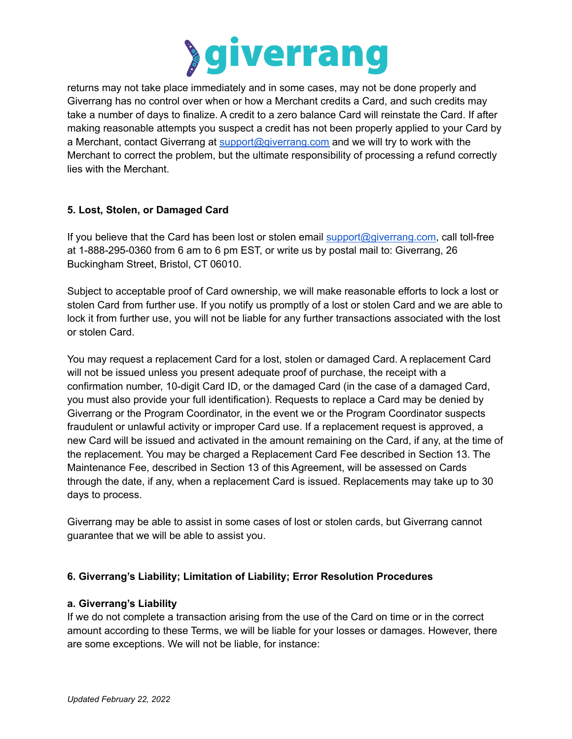

returns may not take place immediately and in some cases, may not be done properly and Giverrang has no control over when or how a Merchant credits a Card, and such credits may take a number of days to finalize. A credit to a zero balance Card will reinstate the Card. If after making reasonable attempts you suspect a credit has not been properly applied to your Card by a Merchant, contact Giverrang at [support@giverrang.com](mailto:support@giverrang.com) and we will try to work with the Merchant to correct the problem, but the ultimate responsibility of processing a refund correctly lies with the Merchant.

# **5. Lost, Stolen, or Damaged Card**

If you believe that the Card has been lost or stolen email [support@giverrang.com,](mailto:support@giverrang.com) call toll-free at 1-888-295-0360 from 6 am to 6 pm EST, or write us by postal mail to: Giverrang, 26 Buckingham Street, Bristol, CT 06010.

Subject to acceptable proof of Card ownership, we will make reasonable efforts to lock a lost or stolen Card from further use. If you notify us promptly of a lost or stolen Card and we are able to lock it from further use, you will not be liable for any further transactions associated with the lost or stolen Card.

You may request a replacement Card for a lost, stolen or damaged Card. A replacement Card will not be issued unless you present adequate proof of purchase, the receipt with a confirmation number, 10-digit Card ID, or the damaged Card (in the case of a damaged Card, you must also provide your full identification). Requests to replace a Card may be denied by Giverrang or the Program Coordinator, in the event we or the Program Coordinator suspects fraudulent or unlawful activity or improper Card use. If a replacement request is approved, a new Card will be issued and activated in the amount remaining on the Card, if any, at the time of the replacement. You may be charged a Replacement Card Fee described in Section 13. The Maintenance Fee, described in Section 13 of this Agreement, will be assessed on Cards through the date, if any, when a replacement Card is issued. Replacements may take up to 30 days to process.

Giverrang may be able to assist in some cases of lost or stolen cards, but Giverrang cannot guarantee that we will be able to assist you.

# **6. Giverrang's Liability; Limitation of Liability; Error Resolution Procedures**

# **a. Giverrang's Liability**

If we do not complete a transaction arising from the use of the Card on time or in the correct amount according to these Terms, we will be liable for your losses or damages. However, there are some exceptions. We will not be liable, for instance: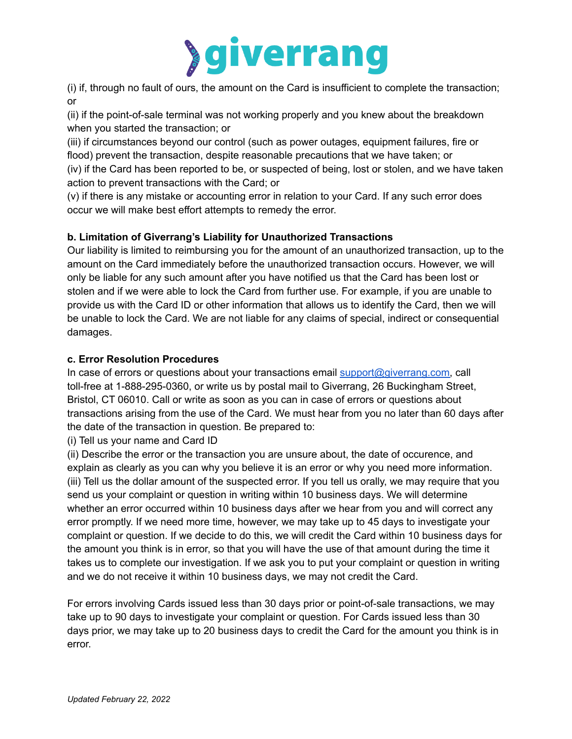

(i) if, through no fault of ours, the amount on the Card is insufficient to complete the transaction; or

(ii) if the point-of-sale terminal was not working properly and you knew about the breakdown when you started the transaction; or

(iii) if circumstances beyond our control (such as power outages, equipment failures, fire or flood) prevent the transaction, despite reasonable precautions that we have taken; or (iv) if the Card has been reported to be, or suspected of being, lost or stolen, and we have taken action to prevent transactions with the Card; or

(v) if there is any mistake or accounting error in relation to your Card. If any such error does occur we will make best effort attempts to remedy the error.

# **b. Limitation of Giverrang's Liability for Unauthorized Transactions**

Our liability is limited to reimbursing you for the amount of an unauthorized transaction, up to the amount on the Card immediately before the unauthorized transaction occurs. However, we will only be liable for any such amount after you have notified us that the Card has been lost or stolen and if we were able to lock the Card from further use. For example, if you are unable to provide us with the Card ID or other information that allows us to identify the Card, then we will be unable to lock the Card. We are not liable for any claims of special, indirect or consequential damages.

# **c. Error Resolution Procedures**

In case of errors or questions about your transactions email [support@giverrang.com,](mailto:support@giverrang.com) call toll-free at 1-888-295-0360, or write us by postal mail to Giverrang, 26 Buckingham Street, Bristol, CT 06010. Call or write as soon as you can in case of errors or questions about transactions arising from the use of the Card. We must hear from you no later than 60 days after the date of the transaction in question. Be prepared to:

(i) Tell us your name and Card ID

(ii) Describe the error or the transaction you are unsure about, the date of occurence, and explain as clearly as you can why you believe it is an error or why you need more information. (iii) Tell us the dollar amount of the suspected error. If you tell us orally, we may require that you send us your complaint or question in writing within 10 business days. We will determine whether an error occurred within 10 business days after we hear from you and will correct any error promptly. If we need more time, however, we may take up to 45 days to investigate your complaint or question. If we decide to do this, we will credit the Card within 10 business days for the amount you think is in error, so that you will have the use of that amount during the time it takes us to complete our investigation. If we ask you to put your complaint or question in writing and we do not receive it within 10 business days, we may not credit the Card.

For errors involving Cards issued less than 30 days prior or point-of-sale transactions, we may take up to 90 days to investigate your complaint or question. For Cards issued less than 30 days prior, we may take up to 20 business days to credit the Card for the amount you think is in error.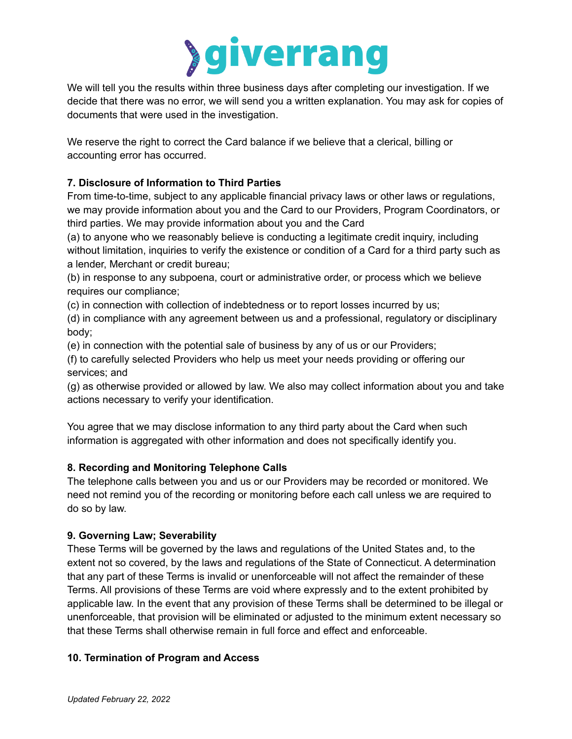

We will tell you the results within three business days after completing our investigation. If we decide that there was no error, we will send you a written explanation. You may ask for copies of documents that were used in the investigation.

We reserve the right to correct the Card balance if we believe that a clerical, billing or accounting error has occurred.

# **7. Disclosure of Information to Third Parties**

From time-to-time, subject to any applicable financial privacy laws or other laws or regulations, we may provide information about you and the Card to our Providers, Program Coordinators, or third parties. We may provide information about you and the Card

(a) to anyone who we reasonably believe is conducting a legitimate credit inquiry, including without limitation, inquiries to verify the existence or condition of a Card for a third party such as a lender, Merchant or credit bureau;

(b) in response to any subpoena, court or administrative order, or process which we believe requires our compliance;

(c) in connection with collection of indebtedness or to report losses incurred by us;

(d) in compliance with any agreement between us and a professional, regulatory or disciplinary body;

(e) in connection with the potential sale of business by any of us or our Providers;

(f) to carefully selected Providers who help us meet your needs providing or offering our services; and

(g) as otherwise provided or allowed by law. We also may collect information about you and take actions necessary to verify your identification.

You agree that we may disclose information to any third party about the Card when such information is aggregated with other information and does not specifically identify you.

# **8. Recording and Monitoring Telephone Calls**

The telephone calls between you and us or our Providers may be recorded or monitored. We need not remind you of the recording or monitoring before each call unless we are required to do so by law.

# **9. Governing Law; Severability**

These Terms will be governed by the laws and regulations of the United States and, to the extent not so covered, by the laws and regulations of the State of Connecticut. A determination that any part of these Terms is invalid or unenforceable will not affect the remainder of these Terms. All provisions of these Terms are void where expressly and to the extent prohibited by applicable law. In the event that any provision of these Terms shall be determined to be illegal or unenforceable, that provision will be eliminated or adjusted to the minimum extent necessary so that these Terms shall otherwise remain in full force and effect and enforceable.

# **10. Termination of Program and Access**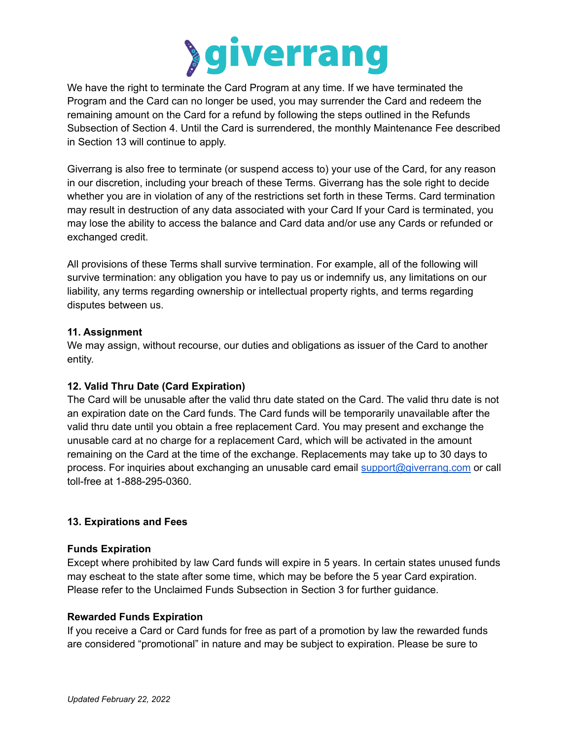

We have the right to terminate the Card Program at any time. If we have terminated the Program and the Card can no longer be used, you may surrender the Card and redeem the remaining amount on the Card for a refund by following the steps outlined in the Refunds Subsection of Section 4. Until the Card is surrendered, the monthly Maintenance Fee described in Section 13 will continue to apply.

Giverrang is also free to terminate (or suspend access to) your use of the Card, for any reason in our discretion, including your breach of these Terms. Giverrang has the sole right to decide whether you are in violation of any of the restrictions set forth in these Terms. Card termination may result in destruction of any data associated with your Card If your Card is terminated, you may lose the ability to access the balance and Card data and/or use any Cards or refunded or exchanged credit.

All provisions of these Terms shall survive termination. For example, all of the following will survive termination: any obligation you have to pay us or indemnify us, any limitations on our liability, any terms regarding ownership or intellectual property rights, and terms regarding disputes between us.

# **11. Assignment**

We may assign, without recourse, our duties and obligations as issuer of the Card to another entity.

# **12. Valid Thru Date (Card Expiration)**

The Card will be unusable after the valid thru date stated on the Card. The valid thru date is not an expiration date on the Card funds. The Card funds will be temporarily unavailable after the valid thru date until you obtain a free replacement Card. You may present and exchange the unusable card at no charge for a replacement Card, which will be activated in the amount remaining on the Card at the time of the exchange. Replacements may take up to 30 days to process. For inquiries about exchanging an unusable card email [support@giverrang.com](mailto:support@giverrang.com) or call toll-free at 1-888-295-0360.

# **13. Expirations and Fees**

# **Funds Expiration**

Except where prohibited by law Card funds will expire in 5 years. In certain states unused funds may escheat to the state after some time, which may be before the 5 year Card expiration. Please refer to the Unclaimed Funds Subsection in Section 3 for further guidance.

# **Rewarded Funds Expiration**

If you receive a Card or Card funds for free as part of a promotion by law the rewarded funds are considered "promotional" in nature and may be subject to expiration. Please be sure to